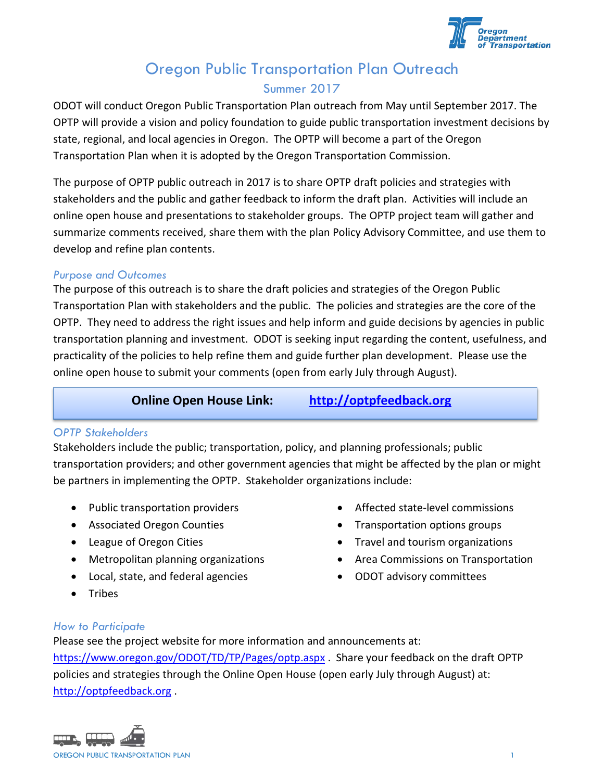

## Oregon Public Transportation Plan Outreach Summer 2017

ODOT will conduct Oregon Public Transportation Plan outreach from May until September 2017. The OPTP will provide a vision and policy foundation to guide public transportation investment decisions by state, regional, and local agencies in Oregon. The OPTP will become a part of the Oregon Transportation Plan when it is adopted by the Oregon Transportation Commission.

The purpose of OPTP public outreach in 2017 is to share OPTP draft policies and strategies with stakeholders and the public and gather feedback to inform the draft plan. Activities will include an online open house and presentations to stakeholder groups. The OPTP project team will gather and summarize comments received, share them with the plan Policy Advisory Committee, and use them to develop and refine plan contents.

#### *Purpose and Outcomes*

The purpose of this outreach is to share the draft policies and strategies of the Oregon Public Transportation Plan with stakeholders and the public. The policies and strategies are the core of the OPTP. They need to address the right issues and help inform and guide decisions by agencies in public transportation planning and investment. ODOT is seeking input regarding the content, usefulness, and practicality of the policies to help refine them and guide further plan development. Please use the online open house to submit your comments (open from early July through August).

#### **Online Open House Link: [http://optpfeedback.org](http://optpfeedback.org/)**

#### *OPTP Stakeholders*

Stakeholders include the public; transportation, policy, and planning professionals; public transportation providers; and other government agencies that might be affected by the plan or might be partners in implementing the OPTP. Stakeholder organizations include:

- Public transportation providers
- Associated Oregon Counties
- League of Oregon Cities
- Metropolitan planning organizations
- Local, state, and federal agencies
- Tribes
- Affected state-level commissions
- Transportation options groups
- Travel and tourism organizations
- Area Commissions on Transportation
- ODOT advisory committees

#### *How to Participate*

Please see the project website for more information and announcements at: <https://www.oregon.gov/ODOT/TD/TP/Pages/optp.aspx> . Share your feedback on the draft OPTP policies and strategies through the Online Open House (open early July through August) at: [http://optpfeedback.org](http://optpfeedback.org/) .

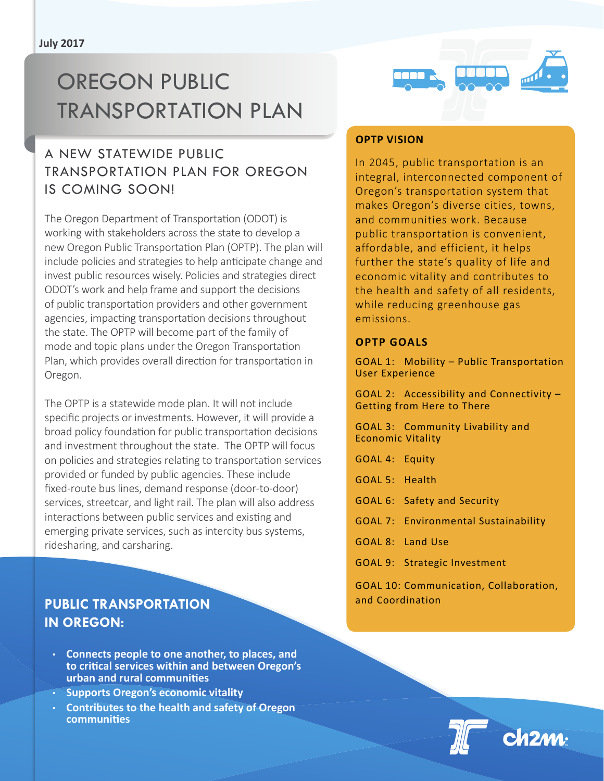# OREGON PUBLIC Transportation plan

## A NEW STATEWIDE PUBLIC TRANSPORTATION PLAN FOR OREGON IS COMING SOON!

The Oregon Department of Transportation (ODOT) is working with stakeholders across the state to develop a new Oregon Public Transportation Plan (OPTP). The plan will include policies and strategies to help anticipate change and invest public resources wisely. Policies and strategies direct ODOT's work and help frame and support the decisions of public transportation providers and other government agencies, impacting transportation decisions throughout the state. The OPTP will become part of the family of mode and topic plans under the Oregon Transportation Plan, which provides overall direction for transportation in Oregon.

The OPTP is a statewide mode plan. It will not include specific projects or investments. However, it will provide a broad policy foundation for public transportation decisions and investment throughout the state. The OPTP will focus on policies and strategies relating to transportation services provided or funded by public agencies. These include fixed-route bus lines, demand response (door-to-door) services, streetcar, and light rail. The plan will also address interactions between public services and existing and emerging private services, such as intercity bus systems, ridesharing, and carsharing.

### **Public Transportation in Oregon:**

- • **Connects people to one another, to places, and to critical services within and between Oregon's urban and rural communities**
- • **Supports Oregon's economic vitality**
- • **Contributes to the health and safety of Oregon communities**



#### **OPTP Vision**

In 2045, public transportation is an integral, interconnected component of Oregon's transportation system that makes Oregon's diverse cities, towns, and communities work. Because public transportation is convenient, affordable, and efficient, it helps further the state's quality of life and economic vitality and contributes to the health and safety of all residents, while reducing greenhouse gas emissions.

#### **OPTP Goals**

GOAL 1: Mobility – Public Transportation User Experience

GOAL 2: Accessibility and Connectivity – Getting from Here to There

GOAL 3: Community Livability and Economic Vitality

- GOAL 4: Equity
- GOAL 5: Health
- GOAL 6: Safety and Security
- GOAL 7: Environmental Sustainability
- GOAL 8: Land Use
- GOAL 9: Strategic Investment

GOAL 10: Communication, Collaboration, and Coordination